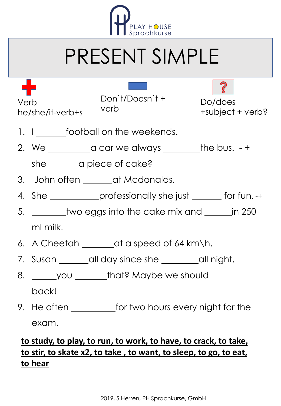

## PRESENT SIMPLE

Verb he/she/it-verb+s

Don`t/Doesn`t + verb



Do/does +subject + verb?

- 1. I\_\_\_\_\_\_\_football on the weekends.
- 2. We  $\frac{1}{\sqrt{2\pi}}$  a car we always  $\frac{1}{\sqrt{2\pi}}$  the bus. +

she \_\_\_\_\_\_\_ a piece of cake?

- 3. John often \_\_\_\_\_\_\_ at Mcdonalds.
- 4. She <u>end on the professionally she just seems</u> for fun. -+
- 5. <u>\_\_\_\_\_\_\_</u> two eggs into the cake mix and \_\_\_\_\_\_ in 250 ml milk.
- 6. A Cheetah  $\_\_\_$ at a speed of 64 km\h.
- 7. Susan \_\_\_\_\_\_all day since she \_\_\_\_\_\_\_all night.
- 8. you that? Maybe we should back!
- 9. He often \_\_\_\_\_\_\_\_\_\_\_\_for two hours every night for the exam.

## **to study, to play, to run, to work, to have, to crack, to take, to stir, to skate x2, to take , to want, to sleep, to go, to eat, to hear**